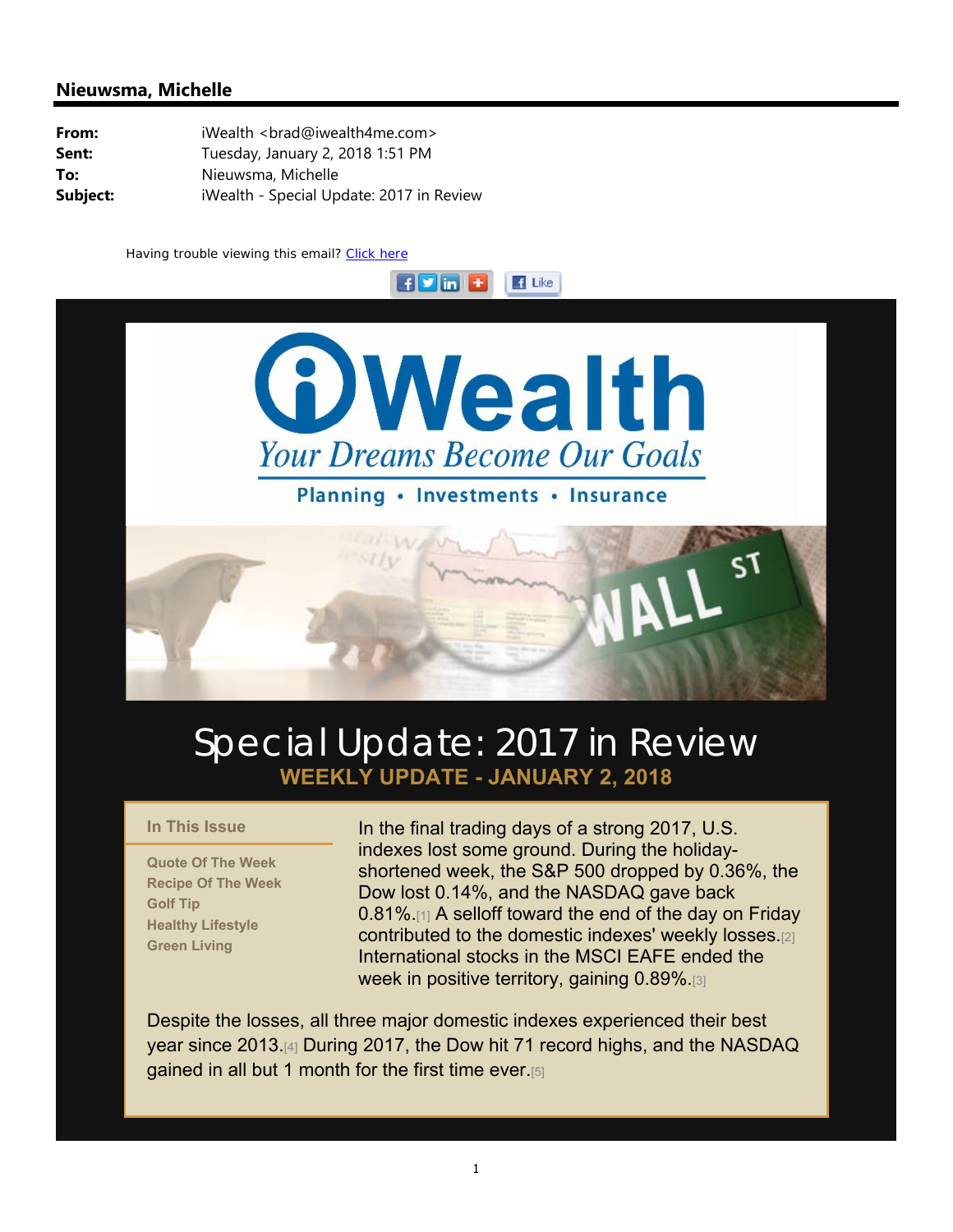#### **Nieuwsma, Michelle**

| From:    | iWealth <brad@iwealth4me.com></brad@iwealth4me.com> |  |  |  |  |
|----------|-----------------------------------------------------|--|--|--|--|
| Sent:    | Tuesday, January 2, 2018 1:51 PM                    |  |  |  |  |
| To:      | Nieuwsma, Michelle                                  |  |  |  |  |
| Subject: | iWealth - Special Update: 2017 in Review            |  |  |  |  |

Having trouble viewing this email? Click here



 $\blacksquare$  Like

 $H$  in  $H$ 

Planning . Investments . Insurance

## Special Update: 2017 in Review **WEEKLY UPDATE - JANUARY 2, 2018**

#### **In This Issue**

**Quote Of The Week Recipe Of The Week Golf Tip Healthy Lifestyle Green Living**

In the final trading days of a strong 2017, U.S. indexes lost some ground. During the holidayshortened week, the S&P 500 dropped by 0.36%, the Dow lost 0.14%, and the NASDAQ gave back 0.81%.[1] A selloff toward the end of the day on Friday contributed to the domestic indexes' weekly losses.[2] International stocks in the MSCI EAFE ended the week in positive territory, gaining 0.89%.[3]

Despite the losses, all three major domestic indexes experienced their best year since 2013.[4] During 2017, the Dow hit 71 record highs, and the NASDAQ gained in all but 1 month for the first time ever.[5]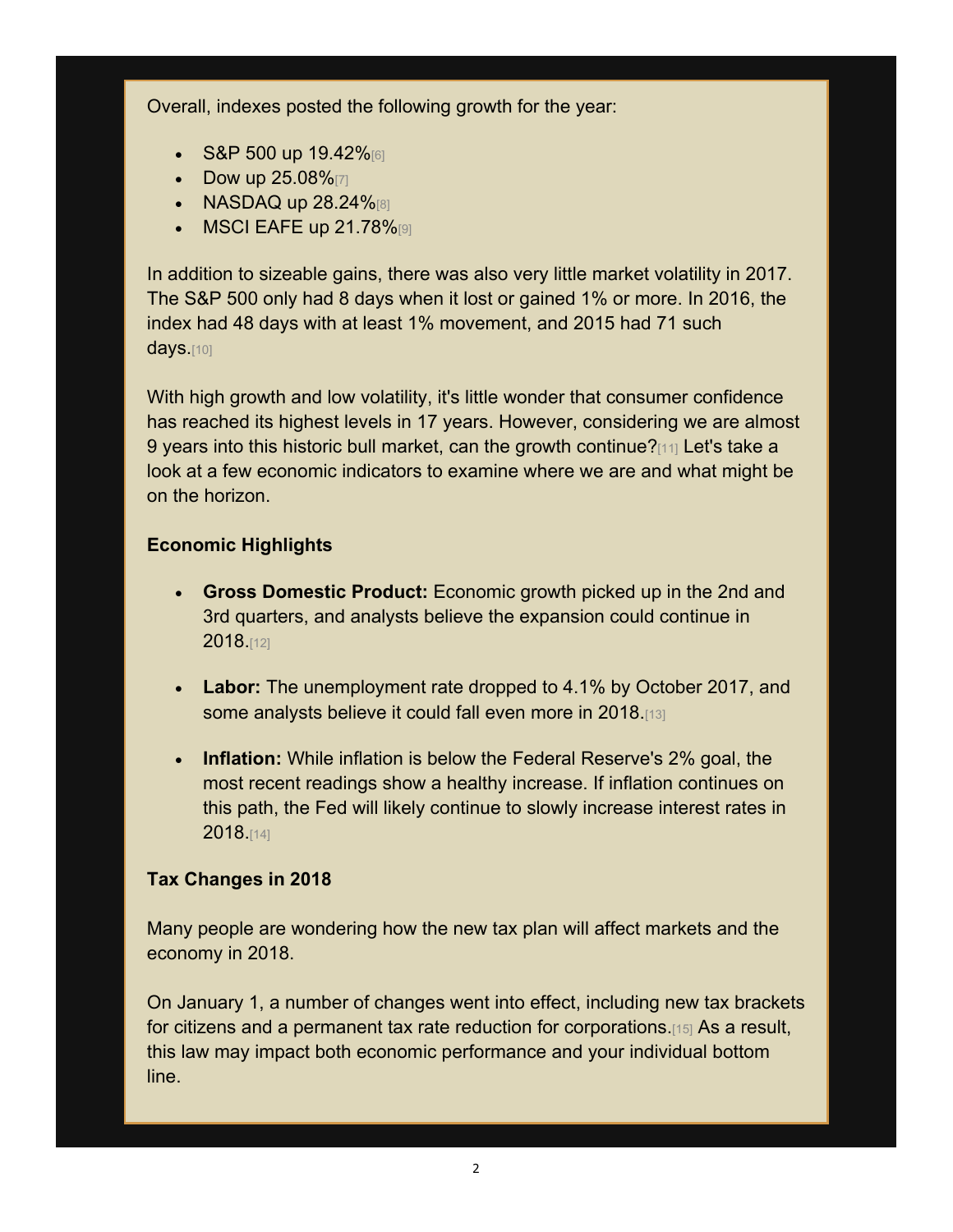Overall, indexes posted the following growth for the year:

- S&P 500 up  $19.42\%$
- Dow up  $25.08\%$
- NASDAQ up  $28.24\%$
- $\bullet$  MSCI EAFE up 21.78% $[9]$

In addition to sizeable gains, there was also very little market volatility in 2017. The S&P 500 only had 8 days when it lost or gained 1% or more. In 2016, the index had 48 days with at least 1% movement, and 2015 had 71 such days.[10]

With high growth and low volatility, it's little wonder that consumer confidence has reached its highest levels in 17 years. However, considering we are almost 9 years into this historic bull market, can the growth continue?[11] Let's take a look at a few economic indicators to examine where we are and what might be on the horizon.

#### **Economic Highlights**

- **Gross Domestic Product:** Economic growth picked up in the 2nd and 3rd quarters, and analysts believe the expansion could continue in 2018.[12]
- **Labor:** The unemployment rate dropped to 4.1% by October 2017, and some analysts believe it could fall even more in 2018.[13]
- **Inflation:** While inflation is below the Federal Reserve's 2% goal, the most recent readings show a healthy increase. If inflation continues on this path, the Fed will likely continue to slowly increase interest rates in 2018.[14]

#### **Tax Changes in 2018**

Many people are wondering how the new tax plan will affect markets and the economy in 2018.

On January 1, a number of changes went into effect, including new tax brackets for citizens and a permanent tax rate reduction for corporations.[15] As a result, this law may impact both economic performance and your individual bottom line.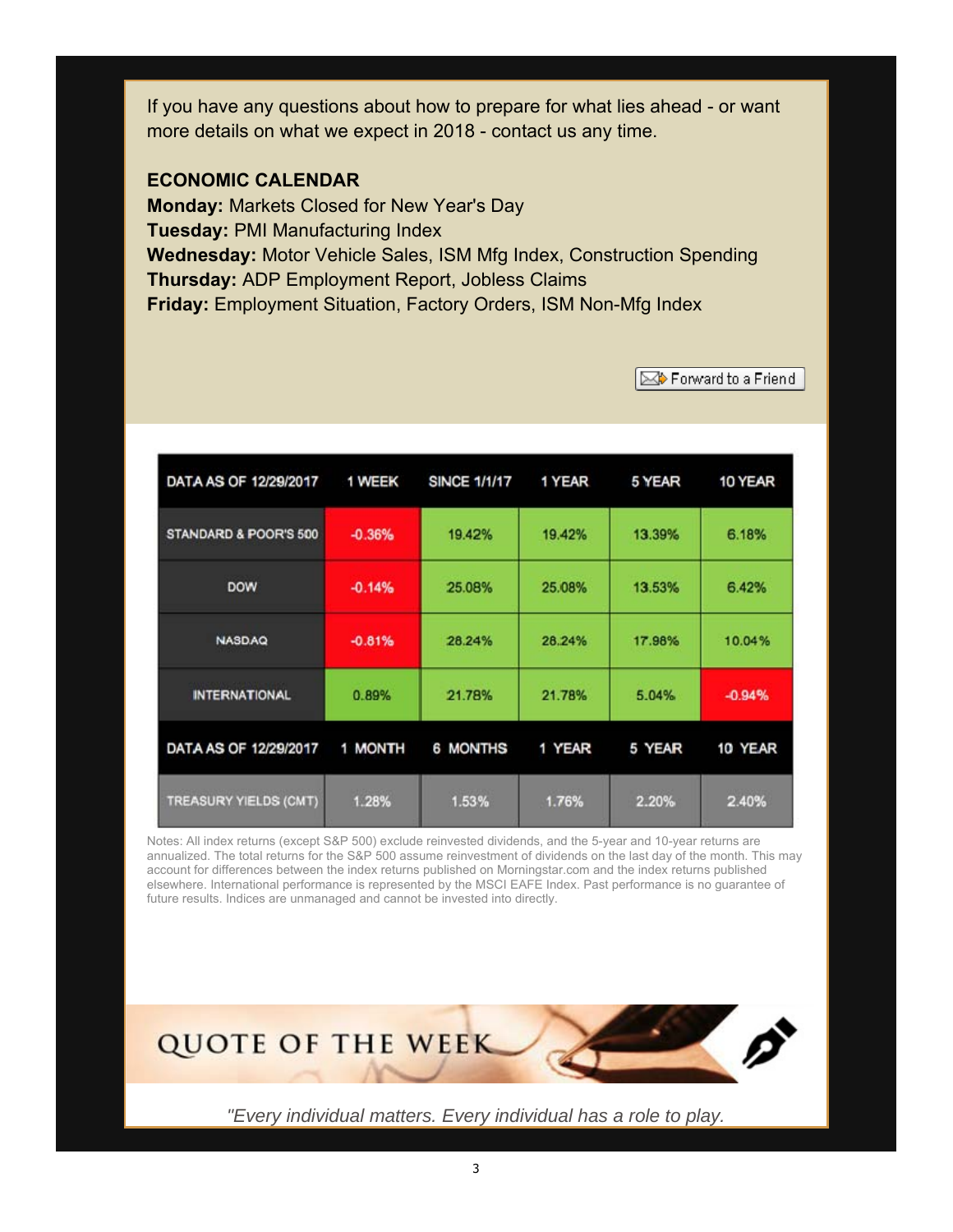If you have any questions about how to prepare for what lies ahead - or want more details on what we expect in 2018 - contact us any time.

#### **ECONOMIC CALENDAR**

**Monday:** Markets Closed for New Year's Day **Tuesday:** PMI Manufacturing Index **Wednesday:** Motor Vehicle Sales, ISM Mfg Index, Construction Spending **Thursday:** ADP Employment Report, Jobless Claims **Friday:** Employment Situation, Factory Orders, ISM Non-Mfg Index

Forward to a Friend

| DATA AS OF 12/29/2017 | 1 WEEK   | <b>SINCE 1/1/17</b> | 1 YEAR | 5 YEAR | 10 YEAR  |
|-----------------------|----------|---------------------|--------|--------|----------|
| STANDARD & POOR'S 500 | $-0.36%$ | 19.42%              | 19.42% | 13.39% | 6.18%    |
| <b>DOW</b>            | $-0.14%$ | 25.08%              | 25.08% | 13.53% | 6.42%    |
| <b>NASDAQ</b>         | $-0.81%$ | 28.24%              | 28.24% | 17.98% | 10.04%   |
| <b>INTERNATIONAL</b>  | 0.89%    | 21.78%              | 21.78% | 5.04%  | $-0.94%$ |
| DATA AS OF 12/29/2017 | 1 MONTH  | <b>6 MONTHS</b>     | 1 YEAR | 5 YEAR | 10 YEAR  |
| TREASURY YIELDS (CMT) | 1.28%    | 1.53%               | 1.76%  | 2.20%  | 2.40%    |

Notes: All index returns (except S&P 500) exclude reinvested dividends, and the 5-year and 10-year returns are annualized. The total returns for the S&P 500 assume reinvestment of dividends on the last day of the month. This may account for differences between the index returns published on Morningstar.com and the index returns published elsewhere. International performance is represented by the MSCI EAFE Index. Past performance is no guarantee of future results. Indices are unmanaged and cannot be invested into directly.



*"Every individual matters. Every individual has a role to play.*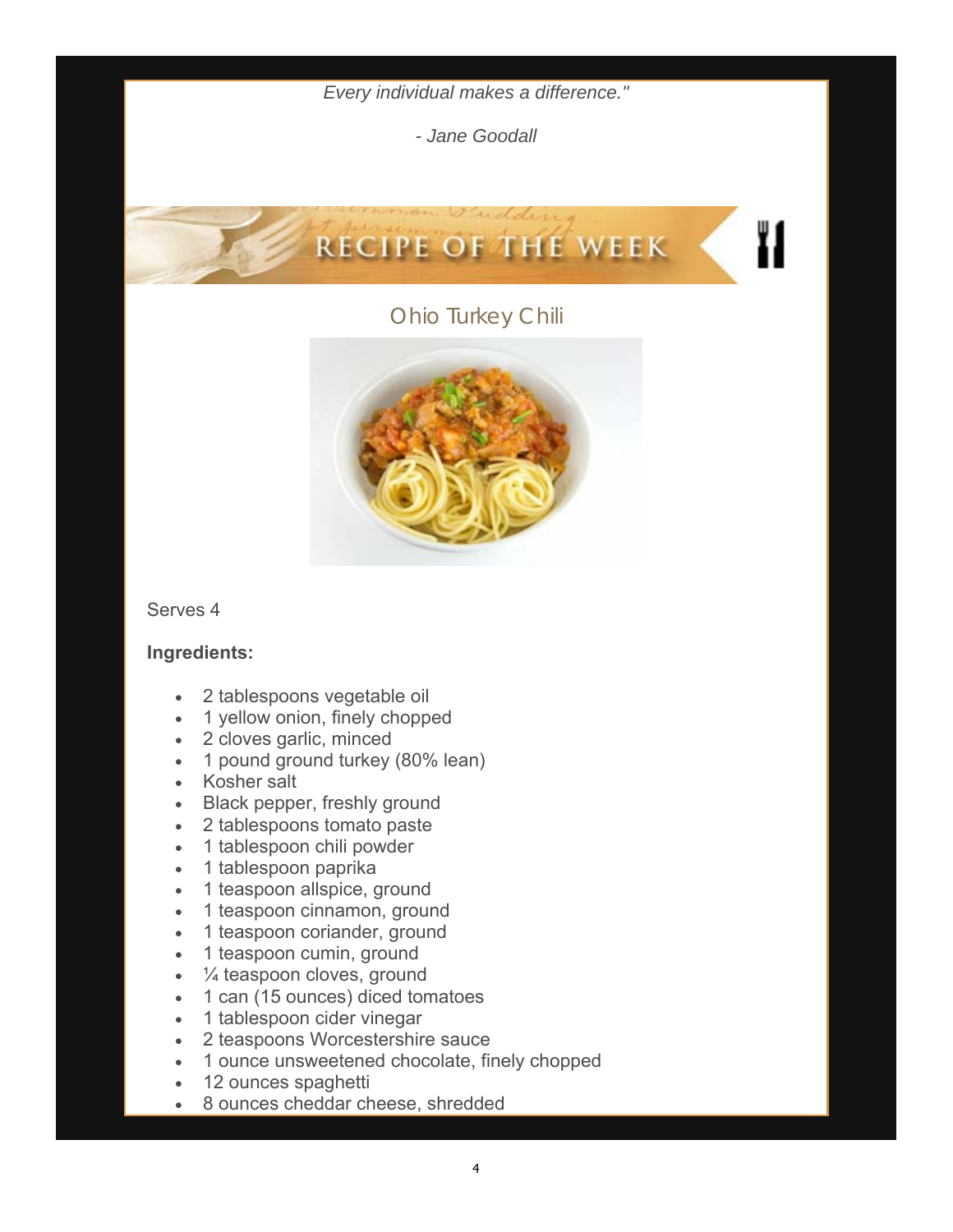*Every individual makes a difference."* 

*- Jane Goodall* 

Recipe Of The Week

# **RECIPE OF THE WEEK**

#### Ohio Turkey Chili



#### Serves 4

#### **Ingredients:**

- 2 tablespoons vegetable oil
- 1 yellow onion, finely chopped
- 2 cloves garlic, minced
- 1 pound ground turkey (80% lean)
- Kosher salt
- Black pepper, freshly ground
- 2 tablespoons tomato paste
- 1 tablespoon chili powder
- 1 tablespoon paprika
- 1 teaspoon allspice, ground
- 1 teaspoon cinnamon, ground
- 1 teaspoon coriander, ground
- 1 teaspoon cumin, ground
- $\cdot$   $\frac{1}{4}$  teaspoon cloves, ground
- 1 can (15 ounces) diced tomatoes
- 1 tablespoon cider vinegar
- 2 teaspoons Worcestershire sauce
- 1 ounce unsweetened chocolate, finely chopped
- 12 ounces spaghetti
- 8 ounces cheddar cheese, shredded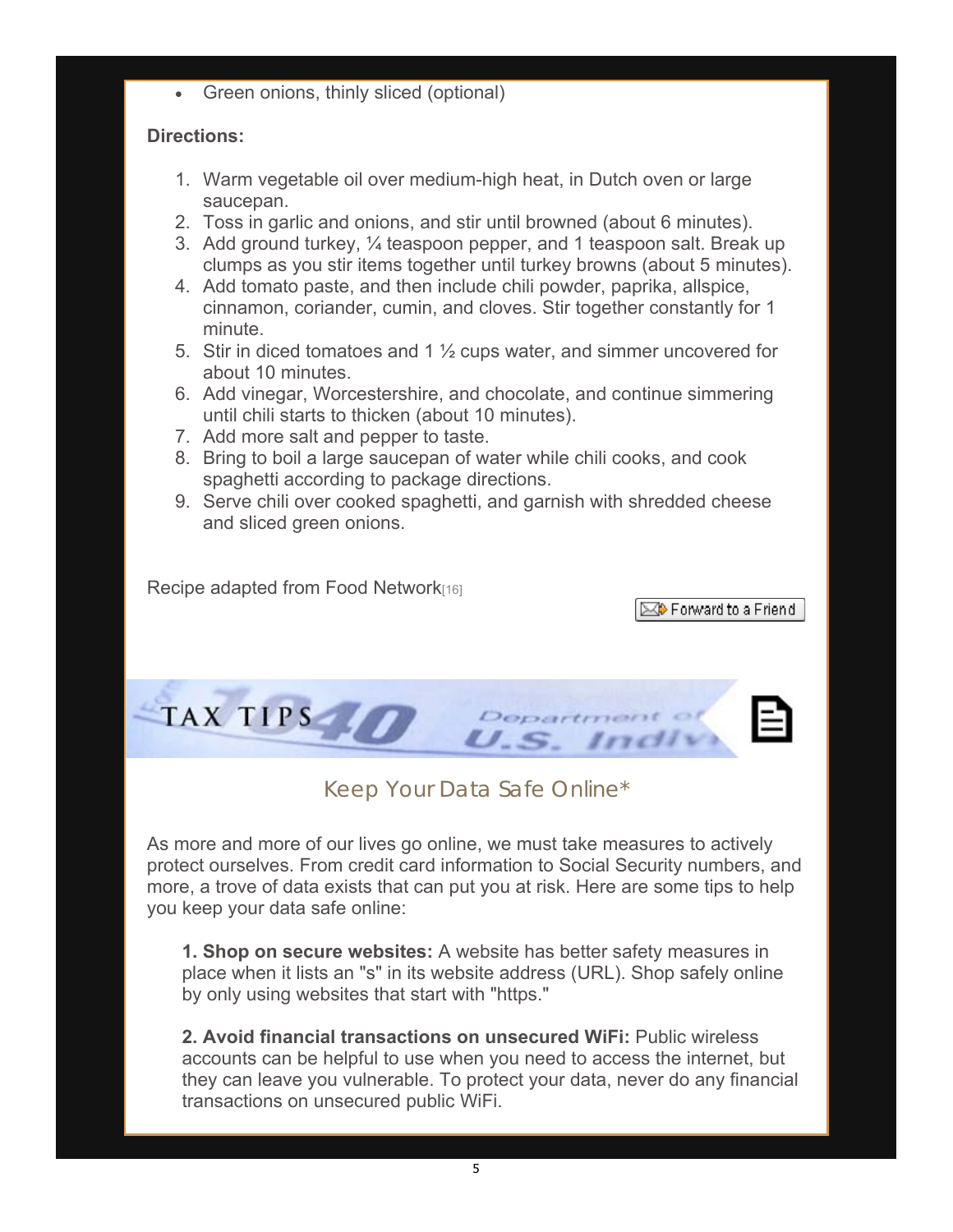• Green onions, thinly sliced (optional)

#### **Directions:**

- 1. Warm vegetable oil over medium-high heat, in Dutch oven or large saucepan.
- 2. Toss in garlic and onions, and stir until browned (about 6 minutes).
- 3. Add ground turkey, ¼ teaspoon pepper, and 1 teaspoon salt. Break up clumps as you stir items together until turkey browns (about 5 minutes).
- 4. Add tomato paste, and then include chili powder, paprika, allspice, cinnamon, coriander, cumin, and cloves. Stir together constantly for 1 minute.
- 5. Stir in diced tomatoes and 1 ½ cups water, and simmer uncovered for about 10 minutes.
- 6. Add vinegar, Worcestershire, and chocolate, and continue simmering until chili starts to thicken (about 10 minutes).
- 7. Add more salt and pepper to taste.
- 8. Bring to boil a large saucepan of water while chili cooks, and cook spaghetti according to package directions.
- 9. Serve chili over cooked spaghetti, and garnish with shredded cheese and sliced green onions.

Recipe adapted from Food Network<sup>[16]</sup>

**SOP** Forward to a Friend



### Keep Your Data Safe Online\*

As more and more of our lives go online, we must take measures to actively protect ourselves. From credit card information to Social Security numbers, and more, a trove of data exists that can put you at risk. Here are some tips to help you keep your data safe online:

**1. Shop on secure websites:** A website has better safety measures in place when it lists an "s" in its website address (URL). Shop safely online by only using websites that start with "https."

**2. Avoid financial transactions on unsecured WiFi:** Public wireless accounts can be helpful to use when you need to access the internet, but they can leave you vulnerable. To protect your data, never do any financial transactions on unsecured public WiFi.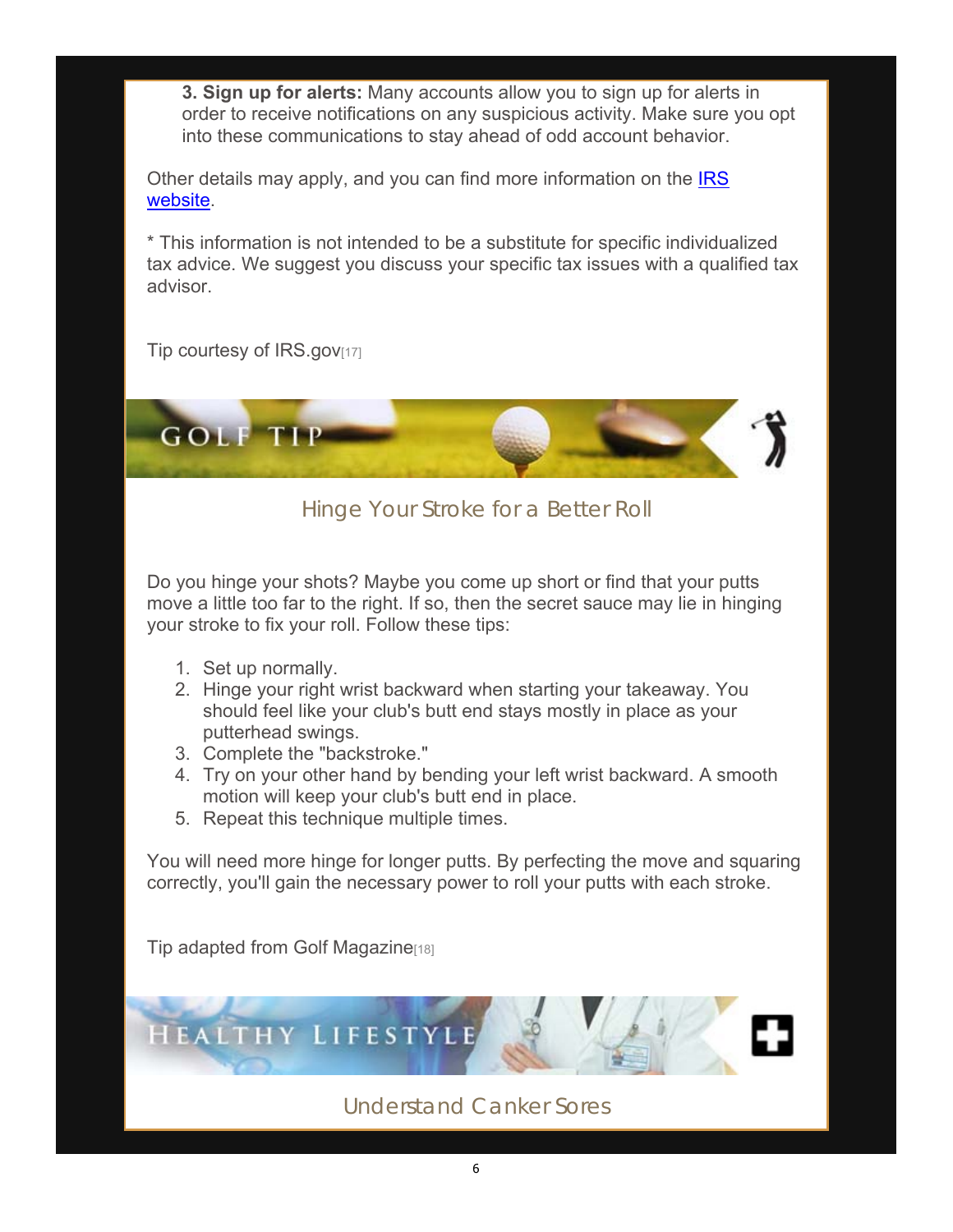**3. Sign up for alerts:** Many accounts allow you to sign up for alerts in order to receive notifications on any suspicious activity. Make sure you opt into these communications to stay ahead of odd account behavior.

Other details may apply, and you can find more information on the **IRS** website.

\* This information is not intended to be a substitute for specific individualized tax advice. We suggest you discuss your specific tax issues with a qualified tax advisor.

Tip courtesy of IRS.gov[17]



Hinge Your Stroke for a Better Roll

Do you hinge your shots? Maybe you come up short or find that your putts move a little too far to the right. If so, then the secret sauce may lie in hinging your stroke to fix your roll. Follow these tips:

- 1. Set up normally.
- 2. Hinge your right wrist backward when starting your takeaway. You should feel like your club's butt end stays mostly in place as your putterhead swings.
- 3. Complete the "backstroke."
- 4. Try on your other hand by bending your left wrist backward. A smooth motion will keep your club's butt end in place.
- 5. Repeat this technique multiple times.

You will need more hinge for longer putts. By perfecting the move and squaring correctly, you'll gain the necessary power to roll your putts with each stroke.

Tip adapted from Golf Magazine[18]

**HEALTHY LIFESTYLE** 

Understand Canker Sores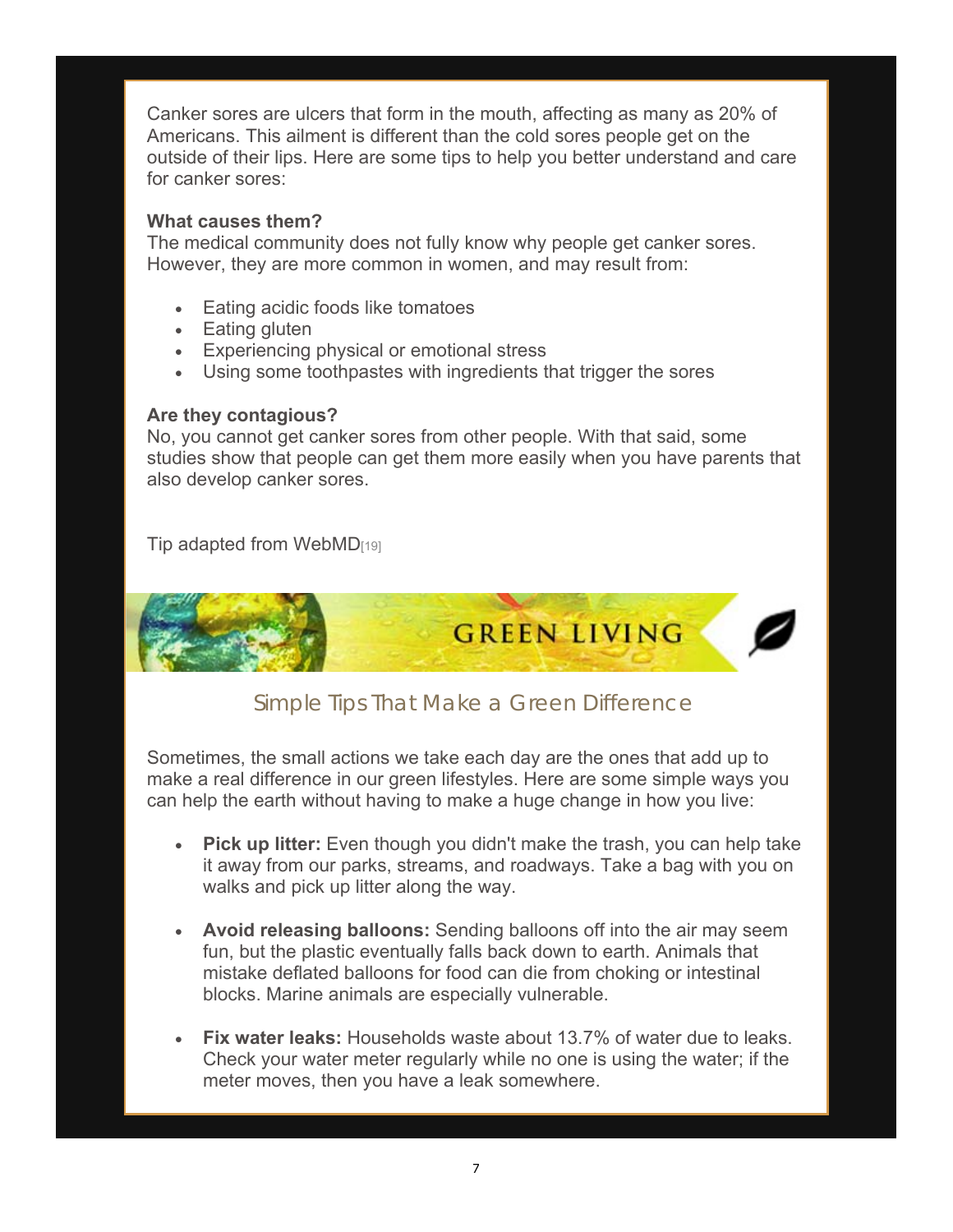Canker sores are ulcers that form in the mouth, affecting as many as 20% of Americans. This ailment is different than the cold sores people get on the outside of their lips. Here are some tips to help you better understand and care for canker sores:

#### **What causes them?**

The medical community does not fully know why people get canker sores. However, they are more common in women, and may result from:

- Eating acidic foods like tomatoes
- Eating gluten
- Experiencing physical or emotional stress
- Using some toothpastes with ingredients that trigger the sores

#### **Are they contagious?**

No, you cannot get canker sores from other people. With that said, some studies show that people can get them more easily when you have parents that also develop canker sores.

Tip adapted from WebMD<sub>[19]</sub>



### Simple Tips That Make a Green Difference

Sometimes, the small actions we take each day are the ones that add up to make a real difference in our green lifestyles. Here are some simple ways you can help the earth without having to make a huge change in how you live:

- **Pick up litter:** Even though you didn't make the trash, you can help take it away from our parks, streams, and roadways. Take a bag with you on walks and pick up litter along the way.
- **Avoid releasing balloons:** Sending balloons off into the air may seem fun, but the plastic eventually falls back down to earth. Animals that mistake deflated balloons for food can die from choking or intestinal blocks. Marine animals are especially vulnerable.
- **Fix water leaks:** Households waste about 13.7% of water due to leaks. Check your water meter regularly while no one is using the water; if the meter moves, then you have a leak somewhere.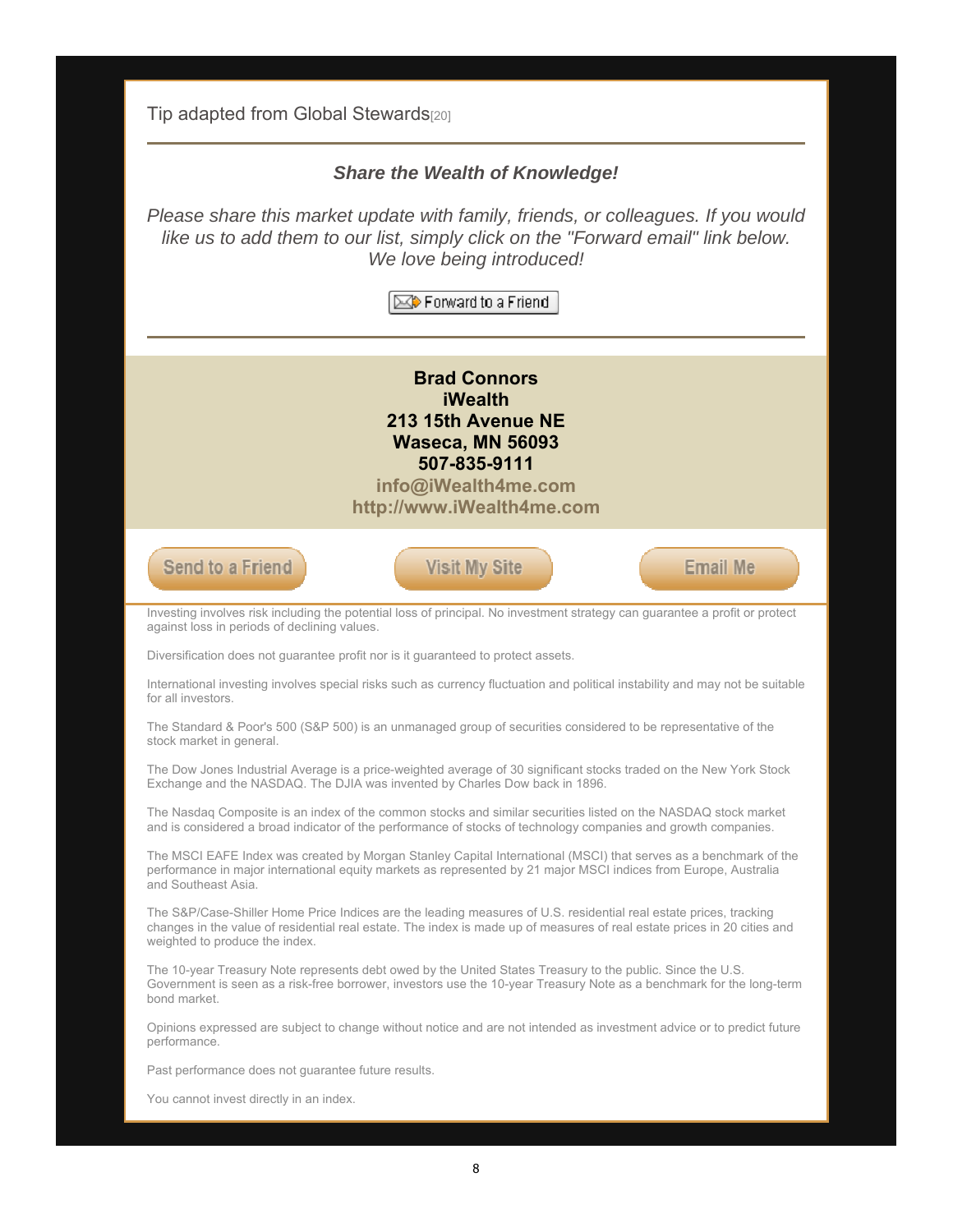Tip adapted from Global Stewards<sup>[20]</sup>

#### *Share the Wealth of Knowledge!*

*Please share this market update with family, friends, or colleagues. If you would like us to add them to our list, simply click on the "Forward email" link below. We love being introduced!*

 $\boxtimes$  Forward to a Friend

**Brad Connors iWealth 213 15th Avenue NE Waseca, MN 56093 507-835-9111**

**info@iWealth4me.com http://www.iWealth4me.com**



Investing involves risk including the potential loss of principal. No investment strategy can guarantee a profit or protect against loss in periods of declining values.

Diversification does not guarantee profit nor is it guaranteed to protect assets.

International investing involves special risks such as currency fluctuation and political instability and may not be suitable for all investors.

The Standard & Poor's 500 (S&P 500) is an unmanaged group of securities considered to be representative of the stock market in general.

The Dow Jones Industrial Average is a price-weighted average of 30 significant stocks traded on the New York Stock Exchange and the NASDAQ. The DJIA was invented by Charles Dow back in 1896.

The Nasdaq Composite is an index of the common stocks and similar securities listed on the NASDAQ stock market and is considered a broad indicator of the performance of stocks of technology companies and growth companies.

The MSCI EAFE Index was created by Morgan Stanley Capital International (MSCI) that serves as a benchmark of the performance in major international equity markets as represented by 21 major MSCI indices from Europe, Australia and Southeast Asia.

The S&P/Case-Shiller Home Price Indices are the leading measures of U.S. residential real estate prices, tracking changes in the value of residential real estate. The index is made up of measures of real estate prices in 20 cities and weighted to produce the index.

The 10-year Treasury Note represents debt owed by the United States Treasury to the public. Since the U.S. Government is seen as a risk-free borrower, investors use the 10-year Treasury Note as a benchmark for the long-term bond market.

Opinions expressed are subject to change without notice and are not intended as investment advice or to predict future performance.

Past performance does not guarantee future results.

You cannot invest directly in an index.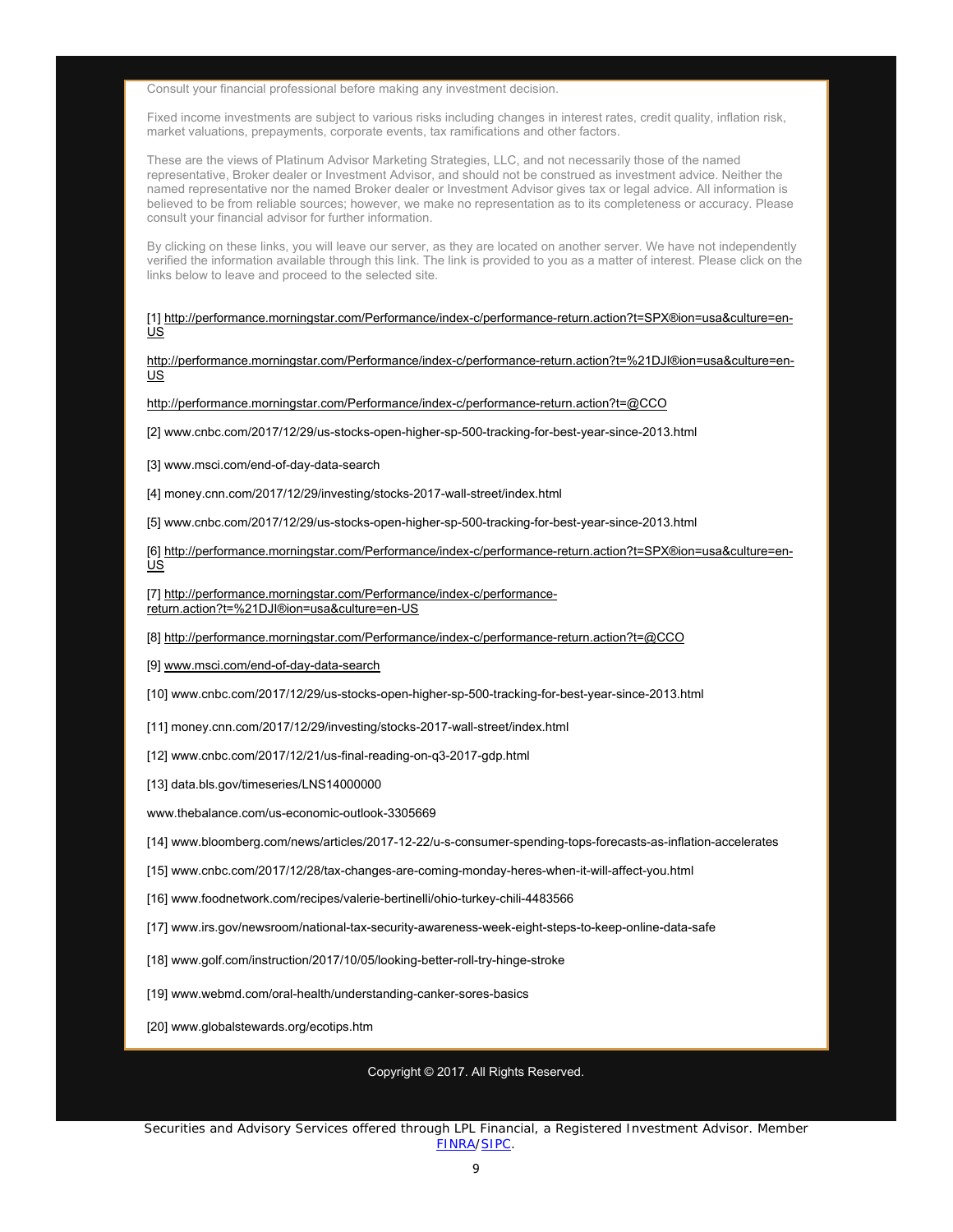Consult your financial professional before making any investment decision.

Fixed income investments are subject to various risks including changes in interest rates, credit quality, inflation risk, market valuations, prepayments, corporate events, tax ramifications and other factors.

These are the views of Platinum Advisor Marketing Strategies, LLC, and not necessarily those of the named representative, Broker dealer or Investment Advisor, and should not be construed as investment advice. Neither the named representative nor the named Broker dealer or Investment Advisor gives tax or legal advice. All information is believed to be from reliable sources; however, we make no representation as to its completeness or accuracy. Please consult your financial advisor for further information.

By clicking on these links, you will leave our server, as they are located on another server. We have not independently verified the information available through this link. The link is provided to you as a matter of interest. Please click on the links below to leave and proceed to the selected site.

[1] http://performance.morningstar.com/Performance/index-c/performance-return.action?t=SPX®ion=usa&culture=en-US

http://performance.morningstar.com/Performance/index-c/performance-return.action?t=%21DJI®ion=usa&culture=en-US

http://performance.morningstar.com/Performance/index-c/performance-return.action?t=@CCO

[2] www.cnbc.com/2017/12/29/us-stocks-open-higher-sp-500-tracking-for-best-year-since-2013.html

[3] www.msci.com/end-of-day-data-search

[4] money.cnn.com/2017/12/29/investing/stocks-2017-wall-street/index.html

[5] www.cnbc.com/2017/12/29/us-stocks-open-higher-sp-500-tracking-for-best-year-since-2013.html

[6] http://performance.morningstar.com/Performance/index-c/performance-return.action?t=SPX®ion=usa&culture=en-US

[7] http://performance.morningstar.com/Performance/index-c/performancereturn.action?t=%21DJI®ion=usa&culture=en-US

[8] http://performance.morningstar.com/Performance/index-c/performance-return.action?t=@CCO

[9] www.msci.com/end-of-day-data-search

[10] www.cnbc.com/2017/12/29/us-stocks-open-higher-sp-500-tracking-for-best-year-since-2013.html

[11] money.cnn.com/2017/12/29/investing/stocks-2017-wall-street/index.html

[12] www.cnbc.com/2017/12/21/us-final-reading-on-q3-2017-gdp.html

[13] data.bls.gov/timeseries/LNS14000000

www.thebalance.com/us-economic-outlook-3305669

[14] www.bloomberg.com/news/articles/2017-12-22/u-s-consumer-spending-tops-forecasts-as-inflation-accelerates

[15] www.cnbc.com/2017/12/28/tax-changes-are-coming-monday-heres-when-it-will-affect-you.html

[16] www.foodnetwork.com/recipes/valerie-bertinelli/ohio-turkey-chili-4483566

[17] www.irs.gov/newsroom/national-tax-security-awareness-week-eight-steps-to-keep-online-data-safe

[18] www.golf.com/instruction/2017/10/05/looking-better-roll-try-hinge-stroke

[19] www.webmd.com/oral-health/understanding-canker-sores-basics

[20] www.globalstewards.org/ecotips.htm

Copyright © 2017. All Rights Reserved.

Securities and Advisory Services offered through LPL Financial, a Registered Investment Advisor. Member FINRA/SIPC.